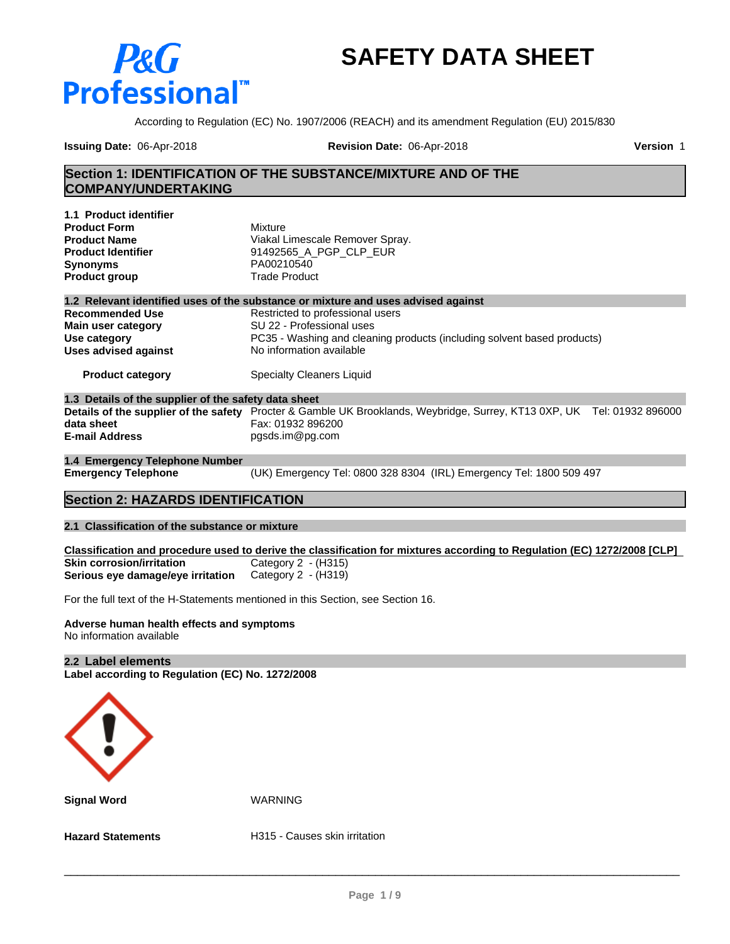# **SAFETY DATA SHEET**

According to Regulation (EC) No. 1907/2006 (REACH) and its amendment Regulation (EU) 2015/830

**Issuing Date:** 06-Apr-2018 **Revision Date:** 06-Apr-2018 **Version** 1

**P&** 

**Professional** 

## **Section 1: IDENTIFICATION OF THE SUBSTANCE/MIXTURE AND OF THE COMPANY/UNDERTAKING**

| 1.1 Product identifier                               |                                                                                                                         |
|------------------------------------------------------|-------------------------------------------------------------------------------------------------------------------------|
| <b>Product Form</b>                                  | Mixture                                                                                                                 |
| <b>Product Name</b>                                  | Viakal Limescale Remover Spray.                                                                                         |
| <b>Product Identifier</b>                            | 91492565 A PGP CLP EUR                                                                                                  |
| <b>Synonyms</b>                                      | PA00210540                                                                                                              |
| <b>Product group</b>                                 | <b>Trade Product</b>                                                                                                    |
|                                                      | 1.2 Relevant identified uses of the substance or mixture and uses advised against                                       |
| <b>Recommended Use</b>                               | Restricted to professional users                                                                                        |
| Main user category                                   | SU 22 - Professional uses                                                                                               |
| Use category                                         | PC35 - Washing and cleaning products (including solvent based products)                                                 |
| <b>Uses advised against</b>                          | No information available                                                                                                |
| <b>Product category</b>                              | Specialty Cleaners Liquid                                                                                               |
| 1.3 Details of the supplier of the safety data sheet |                                                                                                                         |
|                                                      | Details of the supplier of the safety Procter & Gamble UK Brooklands, Weybridge, Surrey, KT13 0XP, UK Tel: 01932 896000 |
| data sheet                                           | Fax: 01932 896200                                                                                                       |
| <b>E-mail Address</b>                                | pgsds.im@pg.com                                                                                                         |
| 1.4 Emergency Telephone Number                       |                                                                                                                         |

**Emergency Telephone** (UK) Emergency Tel: 0800 328 8304 (IRL) Emergency Tel: 1800 509 497

# **Section 2: HAZARDS IDENTIFICATION**

#### **2.1 Classification of the substance or mixture**

Classification and procedure used to derive the classification for mixtures according to Regulation (EC) 1272/2008 [CLP] **Skin corrosion/irritation** Category 2 - (H315)<br>**Serious eye damage/eye irritation** Category 2 - (H319) **Serious** eye damage/eye irritation

For the full text of the H-Statements mentioned in this Section, see Section 16.

#### **Adverse human health effects and symptoms** No information available

#### **2.2 Label elements**

**Label according to Regulation (EC) No. 1272/2008**



**Signal Word** WARNING

**Hazard Statements H315 - Causes skin irritation**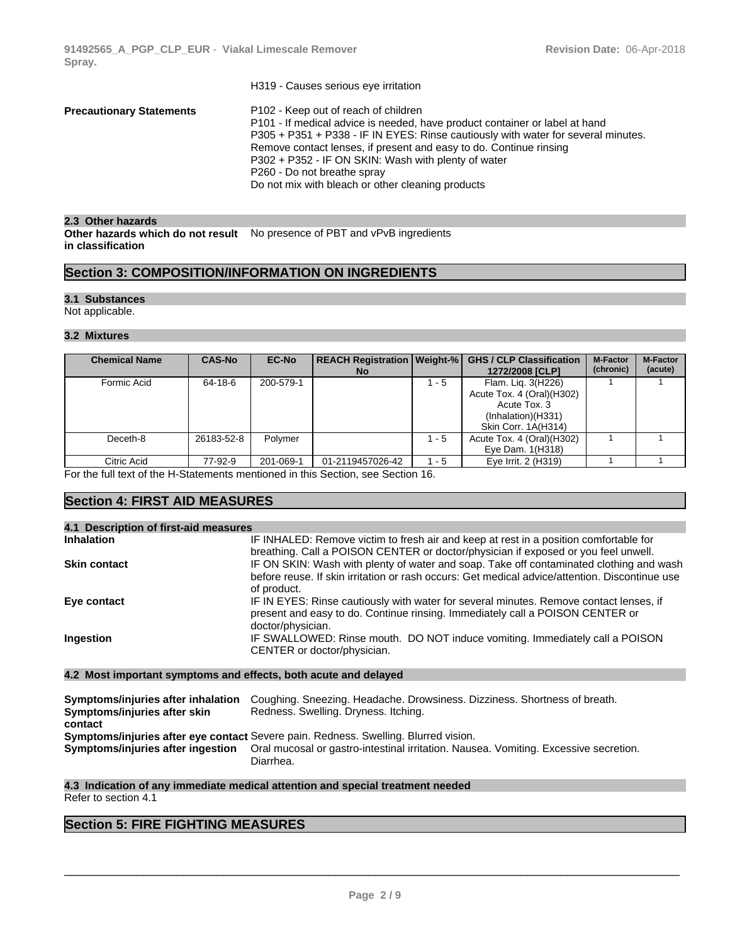|                                 | H319 - Causes serious eye irritation                                              |
|---------------------------------|-----------------------------------------------------------------------------------|
| <b>Precautionary Statements</b> | P102 - Keep out of reach of children                                              |
|                                 | P101 - If medical advice is needed, have product container or label at hand       |
|                                 | P305 + P351 + P338 - IF IN EYES: Rinse cautiously with water for several minutes. |
|                                 | Remove contact lenses, if present and easy to do. Continue rinsing                |
|                                 | P302 + P352 - IF ON SKIN: Wash with plenty of water                               |
|                                 | P260 - Do not breathe spray                                                       |
|                                 | Do not mix with bleach or other cleaning products                                 |
|                                 |                                                                                   |

#### 2.3 Other hazards

**Other hazards which do not result** No presence of PBT and vPvB ingredients **in classification**

# **Section 3: COMPOSITION/INFORMATION ON INGREDIENTS**

#### **3.1 Substances**

Not applicable.

#### **3.2 Mixtures**

| <b>Chemical Name</b> | <b>CAS-No</b> | <b>EC-No</b> | <b>REACH Registration   Weight-%  </b><br><b>No</b> |         | <b>GHS / CLP Classification</b><br>1272/2008 [CLP]                                                           | <b>M-Factor</b><br>(chronic) | <b>M-Factor</b><br>(acute) |
|----------------------|---------------|--------------|-----------------------------------------------------|---------|--------------------------------------------------------------------------------------------------------------|------------------------------|----------------------------|
| Formic Acid          | 64-18-6       | 200-579-1    |                                                     | 1 - 5   | Flam. Lig. 3(H226)<br>Acute Tox. 4 (Oral)(H302)<br>Acute Tox, 3<br>(Inhalation)(H331)<br>Skin Corr. 1A(H314) |                              |                            |
| Deceth-8             | 26183-52-8    | Polymer      |                                                     | $1 - 5$ | Acute Tox. 4 (Oral)(H302)<br>Eye Dam. 1(H318)                                                                |                              |                            |
| Citric Acid          | 77-92-9       | 201-069-1    | 01-2119457026-42                                    | 1 - 5   | Eye Irrit. 2 (H319)                                                                                          |                              |                            |

For the full text of the H-Statements mentioned in this Section, see Section 16.

# **Section 4: FIRST AID MEASURES**

| IF INHALED: Remove victim to fresh air and keep at rest in a position comfortable for<br><b>Inhalation</b><br>breathing. Call a POISON CENTER or doctor/physician if exposed or you feel unwell.<br>IF ON SKIN: Wash with plenty of water and soap. Take off contaminated clothing and wash<br><b>Skin contact</b><br>before reuse. If skin irritation or rash occurs: Get medical advice/attention. Discontinue use<br>of product.<br>IF IN EYES: Rinse cautiously with water for several minutes. Remove contact lenses, if<br>Eye contact<br>present and easy to do. Continue rinsing. Immediately call a POISON CENTER or<br>doctor/physician.<br>IF SWALLOWED: Rinse mouth. DO NOT induce vomiting. Immediately call a POISON<br>Ingestion<br>CENTER or doctor/physician. | 4.1 Description of first-aid measures |                                                                 |
|--------------------------------------------------------------------------------------------------------------------------------------------------------------------------------------------------------------------------------------------------------------------------------------------------------------------------------------------------------------------------------------------------------------------------------------------------------------------------------------------------------------------------------------------------------------------------------------------------------------------------------------------------------------------------------------------------------------------------------------------------------------------------------|---------------------------------------|-----------------------------------------------------------------|
|                                                                                                                                                                                                                                                                                                                                                                                                                                                                                                                                                                                                                                                                                                                                                                                |                                       |                                                                 |
|                                                                                                                                                                                                                                                                                                                                                                                                                                                                                                                                                                                                                                                                                                                                                                                |                                       |                                                                 |
|                                                                                                                                                                                                                                                                                                                                                                                                                                                                                                                                                                                                                                                                                                                                                                                |                                       |                                                                 |
|                                                                                                                                                                                                                                                                                                                                                                                                                                                                                                                                                                                                                                                                                                                                                                                |                                       |                                                                 |
|                                                                                                                                                                                                                                                                                                                                                                                                                                                                                                                                                                                                                                                                                                                                                                                |                                       | 4.2 Most important symptoms and effects, both acute and delayed |

| Symptoms/injuries after inhalation | Coughing. Sneezing. Headache. Drowsiness. Dizziness. Shortness of breath.                                              |
|------------------------------------|------------------------------------------------------------------------------------------------------------------------|
| Symptoms/injuries after skin       | Redness. Swelling. Dryness. Itching.                                                                                   |
| contact                            |                                                                                                                        |
|                                    | <b>Symptoms/injuries after eye contact</b> Severe pain. Redness. Swelling. Blurred vision.                             |
|                                    | Symptoms/injuries after ingestion Oral mucosal or gastro-intestinal irritation. Nausea. Vomiting. Excessive secretion. |
|                                    | Diarrhea.                                                                                                              |

#### **4.3 Indication of any immediate medical attention and special treatment needed** Refer to section 4.1

# **Section 5: FIRE FIGHTING MEASURES**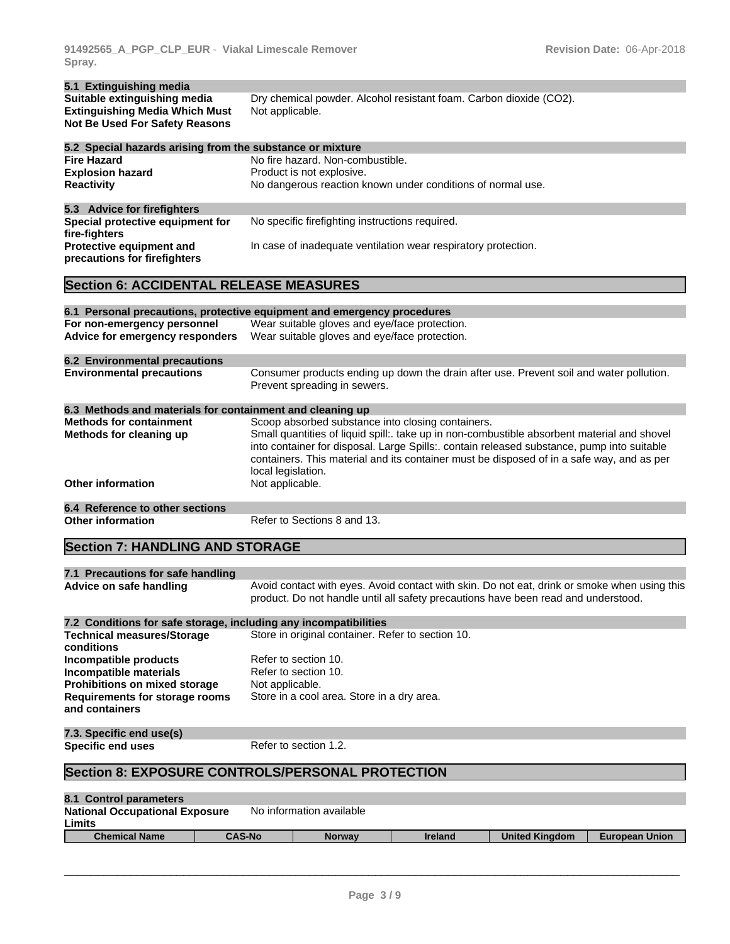| 5.1 Extinguishing media                                   |                                                                                                                                                                                                                                                                                                              |
|-----------------------------------------------------------|--------------------------------------------------------------------------------------------------------------------------------------------------------------------------------------------------------------------------------------------------------------------------------------------------------------|
| Suitable extinguishing media                              | Dry chemical powder. Alcohol resistant foam. Carbon dioxide (CO2).                                                                                                                                                                                                                                           |
| <b>Extinguishing Media Which Must</b>                     | Not applicable.                                                                                                                                                                                                                                                                                              |
| <b>Not Be Used For Safety Reasons</b>                     |                                                                                                                                                                                                                                                                                                              |
| 5.2 Special hazards arising from the substance or mixture |                                                                                                                                                                                                                                                                                                              |
| <b>Fire Hazard</b>                                        | No fire hazard. Non-combustible.                                                                                                                                                                                                                                                                             |
| <b>Explosion hazard</b>                                   | Product is not explosive.                                                                                                                                                                                                                                                                                    |
| <b>Reactivity</b>                                         | No dangerous reaction known under conditions of normal use.                                                                                                                                                                                                                                                  |
| 5.3 Advice for firefighters                               |                                                                                                                                                                                                                                                                                                              |
| Special protective equipment for<br>fire-fighters         | No specific firefighting instructions required.                                                                                                                                                                                                                                                              |
| Protective equipment and<br>precautions for firefighters  | In case of inadequate ventilation wear respiratory protection.                                                                                                                                                                                                                                               |
| <b>Section 6: ACCIDENTAL RELEASE MEASURES</b>             |                                                                                                                                                                                                                                                                                                              |
|                                                           |                                                                                                                                                                                                                                                                                                              |
|                                                           | 6.1 Personal precautions, protective equipment and emergency procedures                                                                                                                                                                                                                                      |
| For non-emergency personnel                               | Wear suitable gloves and eye/face protection.                                                                                                                                                                                                                                                                |
| Advice for emergency responders                           | Wear suitable gloves and eye/face protection.                                                                                                                                                                                                                                                                |
| <b>6.2 Environmental precautions</b>                      |                                                                                                                                                                                                                                                                                                              |
| <b>Environmental precautions</b>                          | Consumer products ending up down the drain after use. Prevent soil and water pollution.<br>Prevent spreading in sewers.                                                                                                                                                                                      |
| 6.3 Methods and materials for containment and cleaning up |                                                                                                                                                                                                                                                                                                              |
| <b>Methods for containment</b>                            | Scoop absorbed substance into closing containers.                                                                                                                                                                                                                                                            |
| Methods for cleaning up                                   | Small quantities of liquid spill:. take up in non-combustible absorbent material and shovel<br>into container for disposal. Large Spills:. contain released substance, pump into suitable<br>containers. This material and its container must be disposed of in a safe way, and as per<br>local legislation. |
| <b>Other information</b>                                  | Not applicable.                                                                                                                                                                                                                                                                                              |

# **6.4 Reference to other sections**

Refer to Sections 8 and 13.

# **Section 7: HANDLING AND STORAGE**

| product. Do not handle until all safety precautions have been read and understood.<br>7.2 Conditions for safe storage, including any incompatibilities<br>Store in original container. Refer to section 10.<br>Refer to section 10.<br>Refer to section 10.<br>Not applicable.<br>Store in a cool area. Store in a dry area.<br>7.3. Specific end use(s)<br>Refer to section 1.2.<br><b>Section 8: EXPOSURE CONTROLS/PERSONAL PROTECTION</b> | 7.1 Precautions for safe handling                       |                                                                                              |
|----------------------------------------------------------------------------------------------------------------------------------------------------------------------------------------------------------------------------------------------------------------------------------------------------------------------------------------------------------------------------------------------------------------------------------------------|---------------------------------------------------------|----------------------------------------------------------------------------------------------|
|                                                                                                                                                                                                                                                                                                                                                                                                                                              | Advice on safe handling                                 | Avoid contact with eyes. Avoid contact with skin. Do not eat, drink or smoke when using this |
|                                                                                                                                                                                                                                                                                                                                                                                                                                              |                                                         |                                                                                              |
|                                                                                                                                                                                                                                                                                                                                                                                                                                              | <b>Technical measures/Storage</b><br>conditions         |                                                                                              |
|                                                                                                                                                                                                                                                                                                                                                                                                                                              | Incompatible products                                   |                                                                                              |
|                                                                                                                                                                                                                                                                                                                                                                                                                                              | Incompatible materials                                  |                                                                                              |
|                                                                                                                                                                                                                                                                                                                                                                                                                                              | Prohibitions on mixed storage                           |                                                                                              |
|                                                                                                                                                                                                                                                                                                                                                                                                                                              | <b>Requirements for storage rooms</b><br>and containers |                                                                                              |
|                                                                                                                                                                                                                                                                                                                                                                                                                                              |                                                         |                                                                                              |
|                                                                                                                                                                                                                                                                                                                                                                                                                                              | <b>Specific end uses</b>                                |                                                                                              |
|                                                                                                                                                                                                                                                                                                                                                                                                                                              |                                                         |                                                                                              |

| 8.1 Control parameters                |               |                          |         |                       |                       |  |  |
|---------------------------------------|---------------|--------------------------|---------|-----------------------|-----------------------|--|--|
| <b>National Occupational Exposure</b> |               | No information available |         |                       |                       |  |  |
| Limits                                |               |                          |         |                       |                       |  |  |
| <b>Chemical Name</b>                  | <b>CAS-No</b> | <b>Norway</b>            | Ireland | <b>United Kingdom</b> | <b>European Union</b> |  |  |
|                                       |               |                          |         |                       |                       |  |  |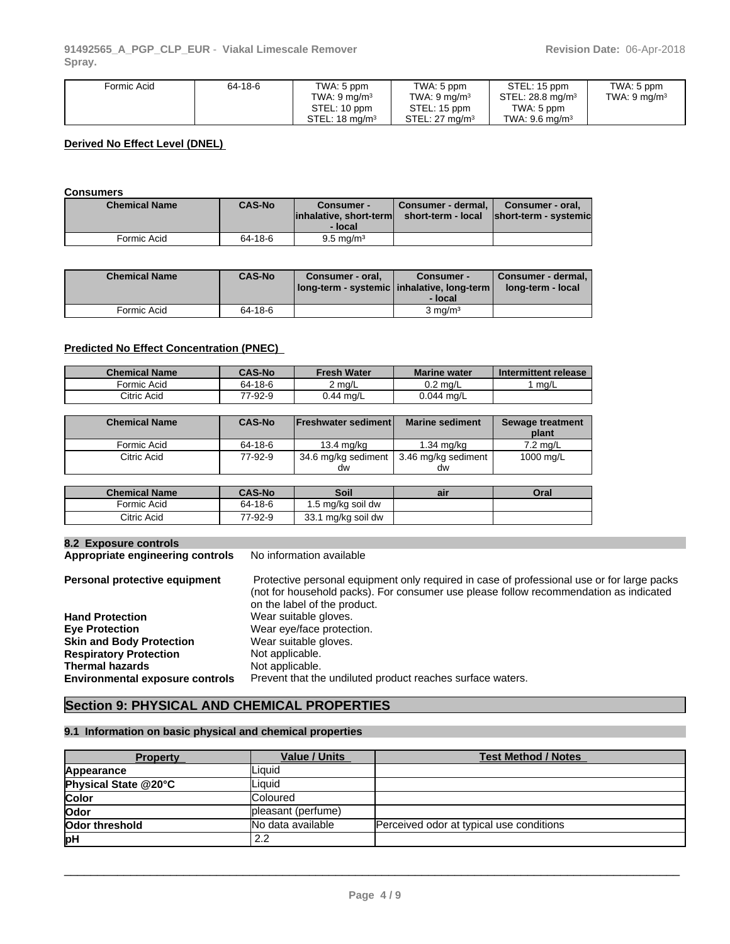| Formic Acid | 64-18-6 | TWA: 5 ppm<br>TWA: 9 ma/m3<br>STEL: 10 ppm | TWA: 5 ppm<br>TWA: $9 \text{ ma/m}^3$<br>STEL: 15 ppm | STEL: 15 ppm<br>STEL: 28.8 $ma/m3$<br>TWA: 5 ppm | TWA: 5 ppm<br>TWA: $9 \text{ mg/m}^3$ |
|-------------|---------|--------------------------------------------|-------------------------------------------------------|--------------------------------------------------|---------------------------------------|
|             |         | STEL: $18 \text{ ma/m}^3$                  | STEL: $27 \text{ ma/m}^3$                             | TWA: $9.6$ ma/m <sup>3</sup>                     |                                       |

#### **Derived No Effect Level (DNEL)**

#### **Consumers**

| <b>Chemical Name</b> | <b>CAS-No</b> | Consumer -<br>linhalative, short-terml<br>- local | Consumer - dermal,  <br>short-term - local | Consumer - oral.<br>short-term - systemic |
|----------------------|---------------|---------------------------------------------------|--------------------------------------------|-------------------------------------------|
| Formic Acid          | 64-18-6       | $9.5 \,\mathrm{mg/m^3}$                           |                                            |                                           |

| <b>Chemical Name</b> | <b>CAS-No</b> | Consumer - oral.<br>  long-term - systemic   inhalative, long-term | Consumer -<br>- local | Consumer - dermal,<br>long-term - local |
|----------------------|---------------|--------------------------------------------------------------------|-----------------------|-----------------------------------------|
| Formic Acid          | 64-18-6       |                                                                    | $3 \text{ ma/m}^3$    |                                         |

#### **Predicted No Effect Concentration (PNEC)**

| <b>Chemical Name</b> | <b>CAS-No</b> | Fresh Water | <b>Marine water</b> | Intermittent release |
|----------------------|---------------|-------------|---------------------|----------------------|
| Formic Acid          | 64-18-6       | 2 ma/L      | $0.2 \text{ ma/L}$  | ma/L                 |
| Citric Acid          | 77-92-9       | $0.44$ mg/L | 0.044 mg/L          |                      |

| <b>Chemical Name</b> | <b>CAS-No</b> | <b>IFreshwater sedimentl</b> | <b>Marine sediment</b>                          | Sewage treatment<br>plant |
|----------------------|---------------|------------------------------|-------------------------------------------------|---------------------------|
| Formic Acid          | 64-18-6       | 13.4 ma/ka                   | 1.34 mg/kg                                      | $7.2 \text{ ma/L}$        |
| Citric Acid          | 77-92-9       | dw                           | 34.6 mg/kg sediment   3.46 mg/kg sediment<br>dw | 1000 mg/L                 |

| <b>Chemical Name</b> | <b>CAS-No</b> | Soil                   | ail | Oral |
|----------------------|---------------|------------------------|-----|------|
| Formic Acid          | 64-18-6       | 1.5 mg/kg soil dw      |     |      |
| Citric Acid          | 77-92-9       | . mg/kg soil dw<br>33. |     |      |

**8.2 Exposure controls Appropriate engineering controls** 

| Personal protective equipment          | Protective personal equipment only required in case of professional use or for large packs<br>(not for household packs). For consumer use please follow recommendation as indicated |
|----------------------------------------|-------------------------------------------------------------------------------------------------------------------------------------------------------------------------------------|
|                                        | on the label of the product.                                                                                                                                                        |
| <b>Hand Protection</b>                 | Wear suitable gloves.                                                                                                                                                               |
| <b>Eye Protection</b>                  | Wear eye/face protection.                                                                                                                                                           |
| <b>Skin and Body Protection</b>        | Wear suitable gloves.                                                                                                                                                               |
| <b>Respiratory Protection</b>          | Not applicable.                                                                                                                                                                     |
| Thermal hazards                        | Not applicable.                                                                                                                                                                     |
| <b>Environmental exposure controls</b> | Prevent that the undiluted product reaches surface waters.                                                                                                                          |
|                                        |                                                                                                                                                                                     |

# **Section 9: PHYSICAL AND CHEMICAL PROPERTIES**

#### **9.1 Information on basic physical and chemical properties**

| <b>Property</b>      | <b>Value / Units</b> | <b>Test Method / Notes</b>               |
|----------------------|----------------------|------------------------------------------|
| Appearance           | Liauid               |                                          |
| Physical State @20°C | Liauid               |                                          |
| Color                | <b>Coloured</b>      |                                          |
| Odor                 | pleasant (perfume)   |                                          |
| Odor threshold       | No data available    | Perceived odor at typical use conditions |
| þН                   | 2.2                  |                                          |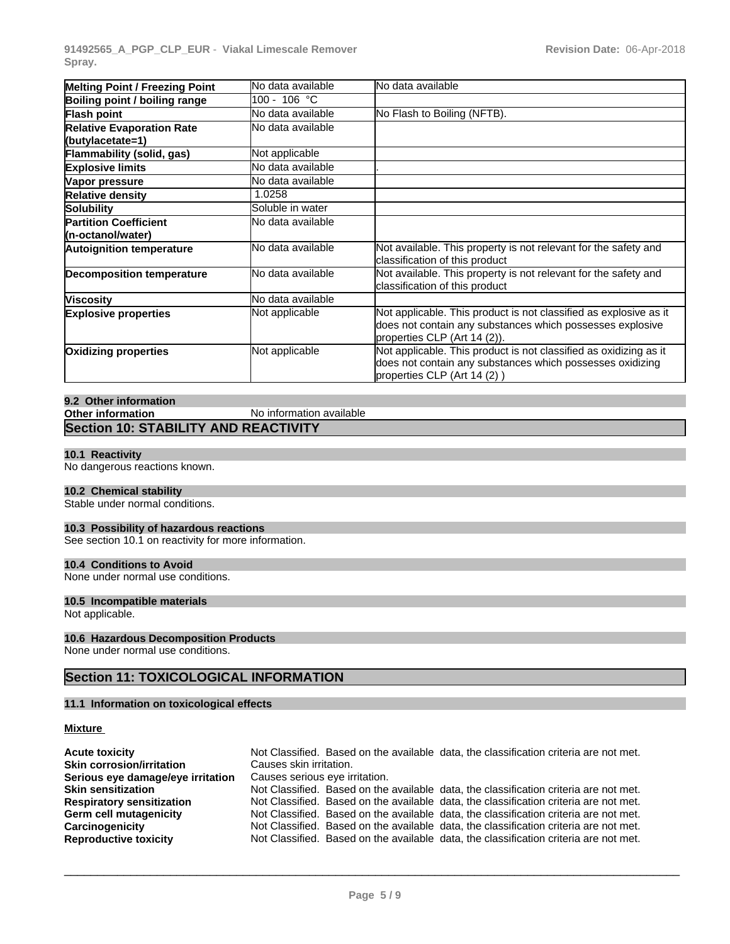**91492565\_A\_PGP\_CLP\_EUR** - **Viakal Limescale Remover Spray.**

| <b>Melting Point / Freezing Point</b>                | No data available     | lNo data available                                                                                                                                             |
|------------------------------------------------------|-----------------------|----------------------------------------------------------------------------------------------------------------------------------------------------------------|
| Boiling point / boiling range                        | 100 - 106 °C          |                                                                                                                                                                |
| Flash point                                          | No data available     | No Flash to Boiling (NFTB).                                                                                                                                    |
| <b>Relative Evaporation Rate</b><br>(butylacetate=1) | No data available     |                                                                                                                                                                |
| Flammability (solid, gas)                            | <b>Not applicable</b> |                                                                                                                                                                |
| <b>Explosive limits</b>                              | No data available     |                                                                                                                                                                |
| Vapor pressure                                       | No data available     |                                                                                                                                                                |
| <b>Relative density</b>                              | 1.0258                |                                                                                                                                                                |
| Solubility                                           | Soluble in water      |                                                                                                                                                                |
| <b>Partition Coefficient</b><br>(n-octanol/water)    | No data available     |                                                                                                                                                                |
| <b>Autoignition temperature</b>                      | No data available     | Not available. This property is not relevant for the safety and<br>classification of this product                                                              |
| <b>Decomposition temperature</b>                     | No data available     | Not available. This property is not relevant for the safety and<br>classification of this product                                                              |
| <b>Viscosity</b>                                     | No data available     |                                                                                                                                                                |
| <b>Explosive properties</b>                          | <b>Not applicable</b> | Not applicable. This product is not classified as explosive as it<br>does not contain any substances which possesses explosive<br>properties CLP (Art 14 (2)). |
| <b>Oxidizing properties</b>                          | <b>Not applicable</b> | Not applicable. This product is not classified as oxidizing as it<br>does not contain any substances which possesses oxidizing<br>properties CLP (Art 14 (2))  |

#### **9.2 Other information**

| Other information                           | No information available |  |
|---------------------------------------------|--------------------------|--|
| <b>Section 10: STABILITY AND REACTIVITY</b> |                          |  |

#### **10.1 Reactivity**

No dangerous reactions known.

#### **10.2 Chemical stability**

Stable under normal conditions.

#### **10.3 Possibility of hazardous reactions**

See section 10.1 on reactivity for more information.

#### **10.4 Conditions to Avoid**

None under normal use conditions.

#### **10.5 Incompatible materials**

Not applicable.

#### **10.6 Hazardous Decomposition Products**

None under normal use conditions.

# **Section 11: TOXICOLOGICAL INFORMATION**

#### **11.1 Information on toxicologicaleffects**

#### **Mixture**

| <b>Acute toxicity</b>             | Not Classified. Based on the available data, the classification criteria are not met. |
|-----------------------------------|---------------------------------------------------------------------------------------|
| <b>Skin corrosion/irritation</b>  | Causes skin irritation.                                                               |
| Serious eye damage/eye irritation | Causes serious eye irritation.                                                        |
| <b>Skin sensitization</b>         | Not Classified. Based on the available data, the classification criteria are not met. |
| <b>Respiratory sensitization</b>  | Not Classified. Based on the available data, the classification criteria are not met. |
| Germ cell mutagenicity            | Not Classified. Based on the available data, the classification criteria are not met. |
| Carcinogenicity                   | Not Classified. Based on the available data, the classification criteria are not met. |
| <b>Reproductive toxicity</b>      | Not Classified. Based on the available data, the classification criteria are not met. |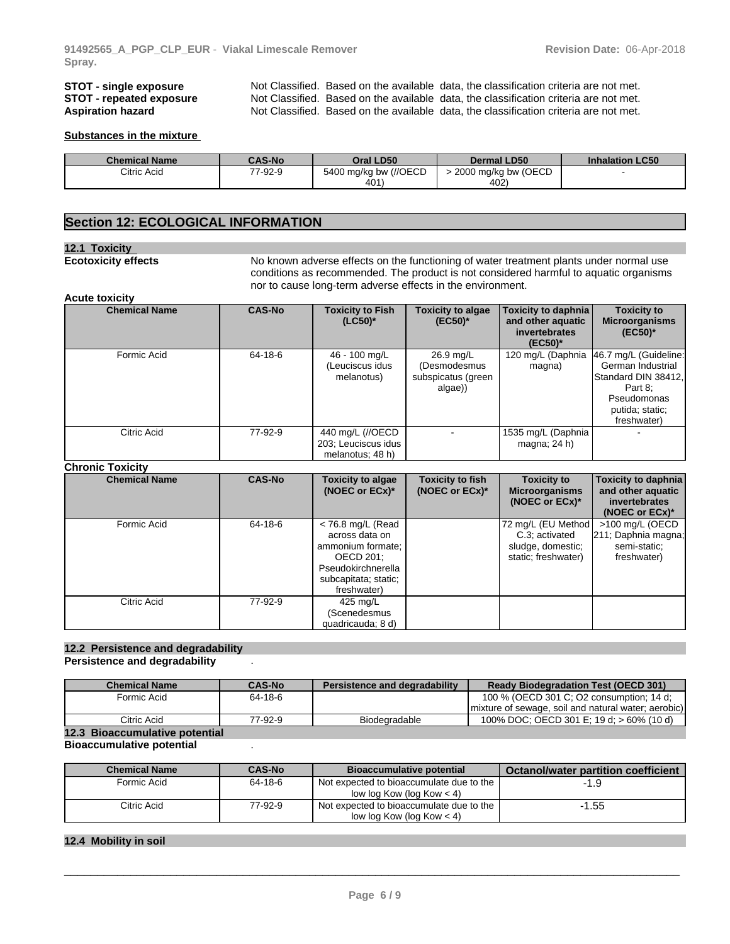**STOT - single exposure** Not Classified. Based on the available data, the classification criteria are not met.<br>**STOT - repeated exposure** Not Classified. Based on the available data, the classification criteria are not met **STOT - repeated exposure** Not Classified. Based on the available data, the classification criteria are not met.<br>**Aspiration hazard** Not Classified. Based on the available data, the classification criteria are not met. Not Classified. Based on the available data, the classification criteria are not met.

#### **Substances in the mixture**

| <b>Chemical Name</b> | <b>CAS-No</b> | Oral LD50             | <b>Dermal LD50</b>  | <b>Inhalation LC50</b> |
|----------------------|---------------|-----------------------|---------------------|------------------------|
| Citric Acid          | 77-92-9       | 5400 mg/kg bw (//OECD | 2000 mg/kg bw (OECD |                        |
|                      |               | 401                   | 402                 |                        |

### **Section 12: ECOLOGICAL INFORMATION**

#### **12.1 Toxicity**

**Ecotoxicity effects** No known adverse effects on the functioning of water treatment plants under normal use conditions as recommended. The product is not considered harmful to aquatic organisms nor to cause long-term adverse effects in the environment.

#### **Acute toxicity**

| <b>Chemical Name</b> | <b>CAS-No</b> | <b>Toxicity to Fish</b><br>$(LC50)^*$                       | <b>Toxicity to algae</b><br>$(EC50)^*$                     | Toxicity to daphnia<br>and other aquatic<br>invertebrates<br>$(EC50)^*$ | <b>Toxicity to</b><br><b>Microorganisms</b><br>$(EC50)^*$                                                                     |  |
|----------------------|---------------|-------------------------------------------------------------|------------------------------------------------------------|-------------------------------------------------------------------------|-------------------------------------------------------------------------------------------------------------------------------|--|
| Formic Acid          | 64-18-6       | 46 - 100 mg/L<br>(Leuciscus idus<br>melanotus)              | 26.9 mg/L<br>(Desmodesmus<br>subspicatus (green<br>algae)) | 120 mg/L (Daphnia<br>magna)                                             | 46.7 mg/L (Guideline:<br>German Industrial<br>Standard DIN 38412.<br>Part 8:<br>Pseudomonas<br>putida; static;<br>freshwater) |  |
| Citric Acid          | 77-92-9       | 440 mg/L (//OECD<br>203; Leuciscus idus<br>melanotus; 48 h) |                                                            | 1535 mg/L (Daphnia)<br>magna; $24 h$ )                                  | $\blacksquare$                                                                                                                |  |

#### **Chronic Toxicity**

| <b>Chemical Name</b> | <b>CAS-No</b> | <b>Toxicity to algae</b><br>(NOEC or $ECx$ )*                                                                                        | <b>Toxicity to fish</b><br>(NOEC or $ECx$ )* | <b>Toxicity to</b><br><b>Microorganisms</b><br>(NOEC or $ECx$ )*                 | Toxicity to daphnia<br>and other aquatic<br>invertebrates<br>(NOEC or $ECx$ )* |
|----------------------|---------------|--------------------------------------------------------------------------------------------------------------------------------------|----------------------------------------------|----------------------------------------------------------------------------------|--------------------------------------------------------------------------------|
| Formic Acid          | 64-18-6       | $<$ 76.8 mg/L (Read<br>across data on<br>ammonium formate;<br>OECD 201:<br>Pseudokirchnerella<br>subcapitata; static;<br>freshwater) |                                              | 72 mg/L (EU Method<br>C.3: activated<br>sludge, domestic;<br>static; freshwater) | >100 mg/L (OECD<br>[211; Daphnia magna;<br>semi-static;<br>freshwater)         |
| Citric Acid          | 77-92-9       | 425 mg/L<br>(Scenedesmus<br>quadricauda; 8 d)                                                                                        |                                              |                                                                                  |                                                                                |

# **12.2 Persistence and degradability**

**Persistence and degradability** .

| <b>Chemical Name</b>           | <b>CAS-No</b> | Persistence and degradability | <b>Ready Biodegradation Test (OECD 301)</b>         |
|--------------------------------|---------------|-------------------------------|-----------------------------------------------------|
| Formic Acid                    | 64-18-6       |                               | 100 % (OECD 301 C; O2 consumption; 14 d;            |
|                                |               |                               | mixture of sewage, soil and natural water; aerobic) |
| Citric Acid                    | 77-92-9       | Biodegradable                 | 100% DOC; OECD 301 E; 19 d; $> 60\%$ (10 d)         |
| 12.3 Bioaccumulative potential |               |                               |                                                     |

#### **Bioaccumulative potential** .

| <b>Chemical Name</b> | <b>CAS-No</b> | <b>Bioaccumulative potential</b>                                        | Octanol/water partition coefficient |
|----------------------|---------------|-------------------------------------------------------------------------|-------------------------------------|
| Formic Acid          | 64-18-6       | Not expected to bioaccumulate due to the<br>low log Kow (log Kow $<$ 4) | -1.9                                |
| Citric Acid          | 77-92-9       | Not expected to bioaccumulate due to the<br>low log Kow (log Kow $<$ 4) | $-1.55$                             |

#### **12.4 Mobility in soil**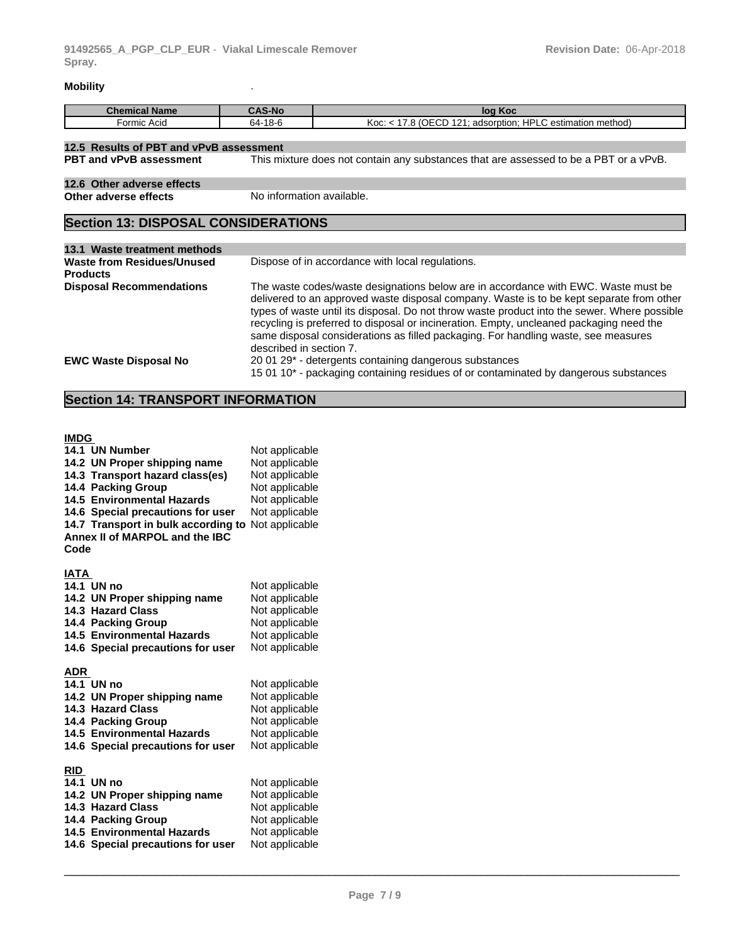### **Mobility** .

| $A^{\alpha}$     | S-No         | Koc                                                                                        |
|------------------|--------------|--------------------------------------------------------------------------------------------|
| <b>Name</b>      | $\sim$       | log                                                                                        |
| -ormic .<br>Acia | -18-6<br>64- | HDI.<br>$20 - 25$<br>101<br>ı method)<br>-<br>℩⊨<br>estimation<br>adsorption:<br>Koc:<br>v |

| 12.5 Results of PBT and vPvB assessment                                                                                 |                           |  |  |  |
|-------------------------------------------------------------------------------------------------------------------------|---------------------------|--|--|--|
| This mixture does not contain any substances that are assessed to be a PBT or a vPvB.<br><b>PBT and vPvB assessment</b> |                           |  |  |  |
|                                                                                                                         |                           |  |  |  |
| 12.6 Other adverse effects                                                                                              |                           |  |  |  |
| Other adverse effects                                                                                                   | No information available. |  |  |  |
|                                                                                                                         |                           |  |  |  |

# **Section 13: DISPOSAL CONSIDERATIONS**

| Dispose of in accordance with local regulations.<br>The waste codes/waste designations below are in accordance with EWC. Waste must be<br>delivered to an approved waste disposal company. Waste is to be kept separate from other<br>types of waste until its disposal. Do not throw waste product into the sewer. Where possible<br>recycling is preferred to disposal or incineration. Empty, uncleaned packaging need the<br>same disposal considerations as filled packaging. For handling waste, see measures<br>described in section 7.<br>20 01 29* - detergents containing dangerous substances |                                               |  |  |  |
|----------------------------------------------------------------------------------------------------------------------------------------------------------------------------------------------------------------------------------------------------------------------------------------------------------------------------------------------------------------------------------------------------------------------------------------------------------------------------------------------------------------------------------------------------------------------------------------------------------|-----------------------------------------------|--|--|--|
|                                                                                                                                                                                                                                                                                                                                                                                                                                                                                                                                                                                                          | 13.1 Waste treatment methods                  |  |  |  |
|                                                                                                                                                                                                                                                                                                                                                                                                                                                                                                                                                                                                          | Waste from Residues/Unused<br><b>Products</b> |  |  |  |
|                                                                                                                                                                                                                                                                                                                                                                                                                                                                                                                                                                                                          | <b>Disposal Recommendations</b>               |  |  |  |
| 15 01 10* - packaging containing residues of or contaminated by dangerous substances                                                                                                                                                                                                                                                                                                                                                                                                                                                                                                                     | <b>EWC Waste Disposal No</b>                  |  |  |  |

# **Section 14: TRANSPORT INFORMATION**

#### **IMDG**

| 14.1 UN Number                      | Not applicable |
|-------------------------------------|----------------|
| 14.2 UN Proper shipping name        | Not applicable |
| 14.3 Transport hazard class(es)     | Not applicable |
| 14.4 Packing Group                  | Not applicable |
| <b>14.5 Environmental Hazards</b>   | Not applicable |
| 14.6 Special precautions for user   | Not applicable |
| 14.7 Transport in bulk according to | Not applicable |
| Annex II of MARPOL and the IBC      |                |
| Code                                |                |
|                                     |                |
| IATA                                |                |
| 14.1 UN no                          | Not applicable |
| 14.2 UN Proper shipping name        | Not applicable |
| 14.3 Hazard Class                   | Not applicable |
| 14.4 Packing Group                  | Not applicable |
| <b>14.5 Environmental Hazards</b>   | Not applicable |
| 14.6 Special precautions for user   | Not applicable |
|                                     |                |
| <b>ADR</b>                          |                |
| 14.1 UN no                          | Not applicable |
| 14.2 UN Proper shipping name        | Not applicable |
| 14.3 Hazard Class                   | Not applicable |
| 14.4 Packing Group                  | Not applicable |
| <b>14.5 Environmental Hazards</b>   | Not applicable |
| 14.6 Special precautions for user   | Not applicable |
| <b>RID</b>                          |                |
| 14.1 UN no                          | Not applicable |
| 14.2 UN Proper shipping name        | Not applicable |
| 14.3 Hazard Class                   | Not applicable |
| 14.4 Packing Group                  | Not applicable |
| <b>14.5 Environmental Hazards</b>   | Not applicable |
| 14.6 Special precautions for user   | Not applicable |
|                                     |                |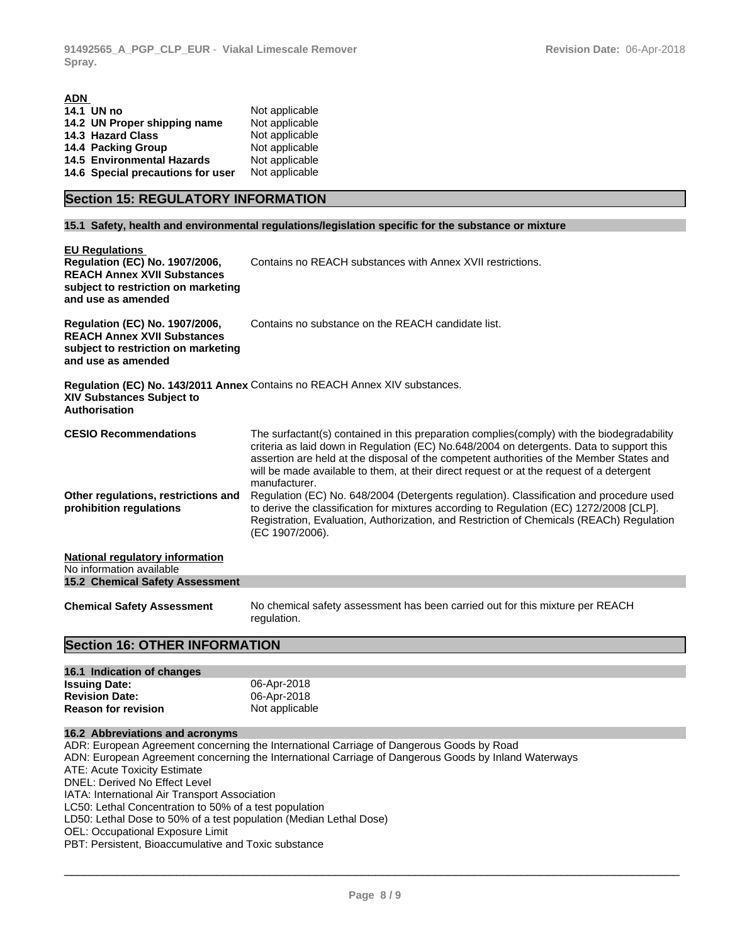| ADN                                                                                                                                                               |                                                                                                                                                                                                                                                                                                                                                                                                                                                                                             |  |  |
|-------------------------------------------------------------------------------------------------------------------------------------------------------------------|---------------------------------------------------------------------------------------------------------------------------------------------------------------------------------------------------------------------------------------------------------------------------------------------------------------------------------------------------------------------------------------------------------------------------------------------------------------------------------------------|--|--|
| 14.1 UN no                                                                                                                                                        | Not applicable                                                                                                                                                                                                                                                                                                                                                                                                                                                                              |  |  |
| 14.2 UN Proper shipping name                                                                                                                                      | Not applicable                                                                                                                                                                                                                                                                                                                                                                                                                                                                              |  |  |
| 14.3 Hazard Class                                                                                                                                                 | Not applicable                                                                                                                                                                                                                                                                                                                                                                                                                                                                              |  |  |
| 14.4 Packing Group                                                                                                                                                | Not applicable                                                                                                                                                                                                                                                                                                                                                                                                                                                                              |  |  |
| <b>14.5 Environmental Hazards</b>                                                                                                                                 | Not applicable                                                                                                                                                                                                                                                                                                                                                                                                                                                                              |  |  |
| 14.6 Special precautions for user<br>Not applicable                                                                                                               |                                                                                                                                                                                                                                                                                                                                                                                                                                                                                             |  |  |
| <b>Section 15: REGULATORY INFORMATION</b>                                                                                                                         |                                                                                                                                                                                                                                                                                                                                                                                                                                                                                             |  |  |
|                                                                                                                                                                   | 15.1 Safety, health and environmental regulations/legislation specific for the substance or mixture                                                                                                                                                                                                                                                                                                                                                                                         |  |  |
| <b>EU Regulations</b><br><b>Regulation (EC) No. 1907/2006,</b><br><b>REACH Annex XVII Substances</b><br>subject to restriction on marketing<br>and use as amended | Contains no REACH substances with Annex XVII restrictions.                                                                                                                                                                                                                                                                                                                                                                                                                                  |  |  |
| <b>Regulation (EC) No. 1907/2006,</b><br>REACH Annex XVII Substances<br>subject to restriction on marketing<br>and use as amended                                 | Contains no substance on the REACH candidate list.                                                                                                                                                                                                                                                                                                                                                                                                                                          |  |  |
| XIV Substances Subject to<br>Authorisation                                                                                                                        | Regulation (EC) No. 143/2011 Annex Contains no REACH Annex XIV substances.                                                                                                                                                                                                                                                                                                                                                                                                                  |  |  |
| <b>CESIO Recommendations</b><br>Other regulations, restrictions and                                                                                               | The surfactant(s) contained in this preparation complies (comply) with the biodegradability<br>criteria as laid down in Regulation (EC) No.648/2004 on detergents. Data to support this<br>assertion are held at the disposal of the competent authorities of the Member States and<br>will be made available to them, at their direct request or at the request of a detergent<br>manufacturer.<br>Regulation (EC) No. 648/2004 (Detergents regulation). Classification and procedure used |  |  |
| prohibition regulations                                                                                                                                           | to derive the classification for mixtures according to Regulation (EC) 1272/2008 [CLP].<br>Registration, Evaluation, Authorization, and Restriction of Chemicals (REACh) Regulation<br>(EC 1907/2006).                                                                                                                                                                                                                                                                                      |  |  |
| National regulatory information<br>No information available<br>15.2 Chemical Safety Assessment                                                                    |                                                                                                                                                                                                                                                                                                                                                                                                                                                                                             |  |  |
| <b>Chemical Safety Assessment</b>                                                                                                                                 | No chemical safety assessment has been carried out for this mixture per REACH<br>regulation.                                                                                                                                                                                                                                                                                                                                                                                                |  |  |

# **Section 16: OTHER INFORMATION**

| 16.1 Indication of changes |                |
|----------------------------|----------------|
| <b>Issuing Date:</b>       | 06-Apr-2018    |
| <b>Revision Date:</b>      | 06-Apr-2018    |
| <b>Reason for revision</b> | Not applicable |

### **16.2 Abbreviations and acronyms**

ADR: European Agreement concerning the International Carriage of Dangerous Goods by Road ADN: European Agreement concerning the International Carriage of Dangerous Goods by Inland Waterways ATE: Acute Toxicity Estimate DNEL: Derived No Effect Level IATA: International Air Transport Association LC50: Lethal Concentration to 50% of a test population LD50: Lethal Dose to 50% of a test population (Median Lethal Dose) OEL: Occupational Exposure Limit PBT: Persistent, Bioaccumulative and Toxic substance